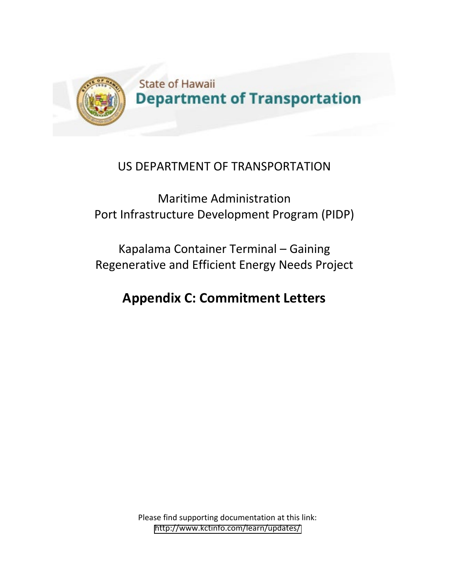

## US DEPARTMENT OF TRANSPORTATION

Maritime Administration Port Infrastructure Development Program (PIDP)

Kapalama Container Terminal – Gaining Regenerative and Efficient Energy Needs Project

## **Appendix C: Commitment Letters**

Please find supporting documentation at this link: [http://www.kctinfo.com/learn/updates/](http://www.kctinfo.com/learn/updates)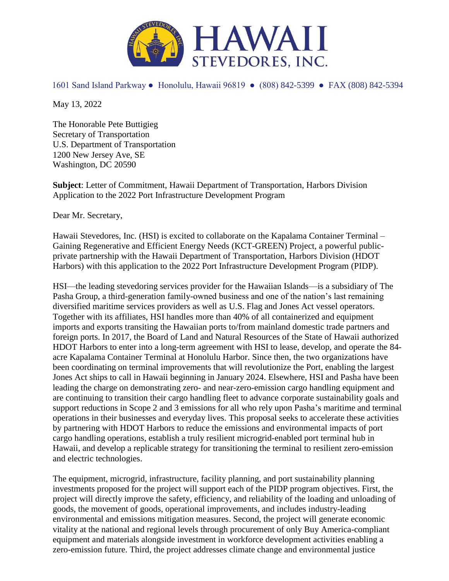

1601 Sand Island Parkway ● Honolulu, Hawaii 96819 ● (808) 842-5399 ● FAX (808) 842-5394

May 13, 2022

The Honorable Pete Buttigieg Secretary of Transportation U.S. Department of Transportation 1200 New Jersey Ave, SE Washington, DC 20590

**Subject**: Letter of Commitment, Hawaii Department of Transportation, Harbors Division Application to the 2022 Port Infrastructure Development Program

Dear Mr. Secretary,

Hawaii Stevedores, Inc. (HSI) is excited to collaborate on the Kapalama Container Terminal – Gaining Regenerative and Efficient Energy Needs (KCT-GREEN) Project, a powerful publicprivate partnership with the Hawaii Department of Transportation, Harbors Division (HDOT Harbors) with this application to the 2022 Port Infrastructure Development Program (PIDP).

HSI—the leading stevedoring services provider for the Hawaiian Islands—is a subsidiary of The Pasha Group, a third-generation family-owned business and one of the nation's last remaining diversified maritime services providers as well as U.S. Flag and Jones Act vessel operators. Together with its affiliates, HSI handles more than 40% of all containerized and equipment imports and exports transiting the Hawaiian ports to/from mainland domestic trade partners and foreign ports. In 2017, the Board of Land and Natural Resources of the State of Hawaii authorized HDOT Harbors to enter into a long-term agreement with HSI to lease, develop, and operate the 84 acre Kapalama Container Terminal at Honolulu Harbor. Since then, the two organizations have been coordinating on terminal improvements that will revolutionize the Port, enabling the largest Jones Act ships to call in Hawaii beginning in January 2024. Elsewhere, HSI and Pasha have been leading the charge on demonstrating zero- and near-zero-emission cargo handling equipment and are continuing to transition their cargo handling fleet to advance corporate sustainability goals and support reductions in Scope 2 and 3 emissions for all who rely upon Pasha's maritime and terminal operations in their businesses and everyday lives. This proposal seeks to accelerate these activities by partnering with HDOT Harbors to reduce the emissions and environmental impacts of port cargo handling operations, establish a truly resilient microgrid-enabled port terminal hub in Hawaii, and develop a replicable strategy for transitioning the terminal to resilient zero-emission and electric technologies.

The equipment, microgrid, infrastructure, facility planning, and port sustainability planning investments proposed for the project will support each of the PIDP program objectives. First, the project will directly improve the safety, efficiency, and reliability of the loading and unloading of goods, the movement of goods, operational improvements, and includes industry-leading environmental and emissions mitigation measures. Second, the project will generate economic vitality at the national and regional levels through procurement of only Buy America-compliant equipment and materials alongside investment in workforce development activities enabling a zero-emission future. Third, the project addresses climate change and environmental justice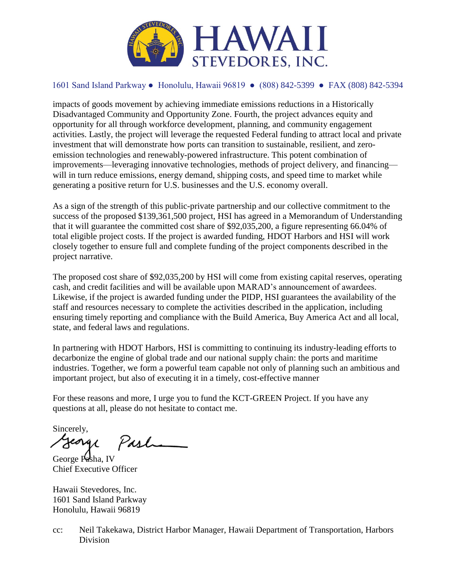

## 1601 Sand Island Parkway ● Honolulu, Hawaii 96819 ● (808) 842-5399 ● FAX (808) 842-5394

impacts of goods movement by achieving immediate emissions reductions in a Historically Disadvantaged Community and Opportunity Zone. Fourth, the project advances equity and opportunity for all through workforce development, planning, and community engagement activities. Lastly, the project will leverage the requested Federal funding to attract local and private investment that will demonstrate how ports can transition to sustainable, resilient, and zeroemission technologies and renewably-powered infrastructure. This potent combination of improvements—leveraging innovative technologies, methods of project delivery, and financing will in turn reduce emissions, energy demand, shipping costs, and speed time to market while generating a positive return for U.S. businesses and the U.S. economy overall.

As a sign of the strength of this public-private partnership and our collective commitment to the success of the proposed \$139,361,500 project, HSI has agreed in a Memorandum of Understanding that it will guarantee the committed cost share of \$92,035,200, a figure representing 66.04% of total eligible project costs. If the project is awarded funding, HDOT Harbors and HSI will work closely together to ensure full and complete funding of the project components described in the project narrative.

The proposed cost share of \$92,035,200 by HSI will come from existing capital reserves, operating cash, and credit facilities and will be available upon MARAD's announcement of awardees. Likewise, if the project is awarded funding under the PIDP, HSI guarantees the availability of the staff and resources necessary to complete the activities described in the application, including ensuring timely reporting and compliance with the Build America, Buy America Act and all local, state, and federal laws and regulations.

In partnering with HDOT Harbors, HSI is committing to continuing its industry-leading efforts to decarbonize the engine of global trade and our national supply chain: the ports and maritime industries. Together, we form a powerful team capable not only of planning such an ambitious and important project, but also of executing it in a timely, cost-effective manner

For these reasons and more, I urge you to fund the KCT-GREEN Project. If you have any questions at all, please do not hesitate to contact me.

Sincerely,

jeorge Past

George Pasha, IV Chief Executive Officer

Hawaii Stevedores, Inc. 1601 Sand Island Parkway Honolulu, Hawaii 96819

cc: Neil Takekawa, District Harbor Manager, Hawaii Department of Transportation, Harbors Division